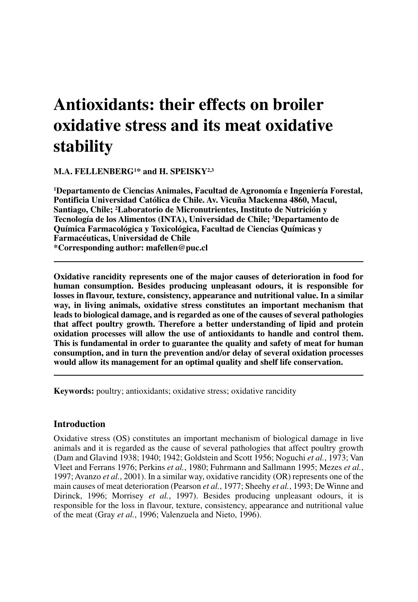# **Antioxidants: their effects on broiler oxidative stress and its meat oxidative stability**

**M.A. FELLENBERG1\* and H. SPEISKY2,3**

**1 Departamento de Ciencias Animales, Facultad de Agronomía e Ingeniería Forestal, Pontificia Universidad Católica de Chile. Av. Vicuña Mackenna 4860, Macul, Santiago, Chile; 2Laboratorio de Micronutrientes, Instituto de Nutrición y Tecnología de los Alimentos (INTA), Universidad de Chile; 3Departamento de Química Farmacológica y Toxicológica, Facultad de Ciencias Químicas y Farmacéuticas, Universidad de Chile \*Corresponding author: mafellen@puc.cl**

**Oxidative rancidity represents one of the major causes of deterioration in food for human consumption. Besides producing unpleasant odours, it is responsible for losses in flavour, texture, consistency, appearance and nutritional value. In a similar way, in living animals, oxidative stress constitutes an important mechanism that leads to biological damage, and is regarded as one of the causes of several pathologies that affect poultry growth. Therefore a better understanding of lipid and protein oxidation processes will allow the use of antioxidants to handle and control them. This is fundamental in order to guarantee the quality and safety of meat for human consumption, and in turn the prevention and/or delay of several oxidation processes would allow its management for an optimal quality and shelf life conservation.**

**Keywords:** poultry; antioxidants; oxidative stress; oxidative rancidity

## **Introduction**

Oxidative stress (OS) constitutes an important mechanism of biological damage in live animals and it is regarded as the cause of several pathologies that affect poultry growth (Dam and Glavind 1938; 1940; 1942; Goldstein and Scott 1956; Noguchi *et al.*, 1973; Van Vleet and Ferrans 1976; Perkins *et al.*, 1980; Fuhrmann and Sallmann 1995; Mezes *et al.*, 1997; Avanzo *et al.*, 2001). In a similar way, oxidative rancidity (OR) represents one of the main causes of meat deterioration (Pearson *et al.*, 1977; Sheehy *et al.*, 1993; De Winne and Dirinck, 1996; Morrisey *et al.*, 1997). Besides producing unpleasant odours, it is responsible for the loss in flavour, texture, consistency, appearance and nutritional value of the meat (Gray *et al.*, 1996; Valenzuela and Nieto, 1996).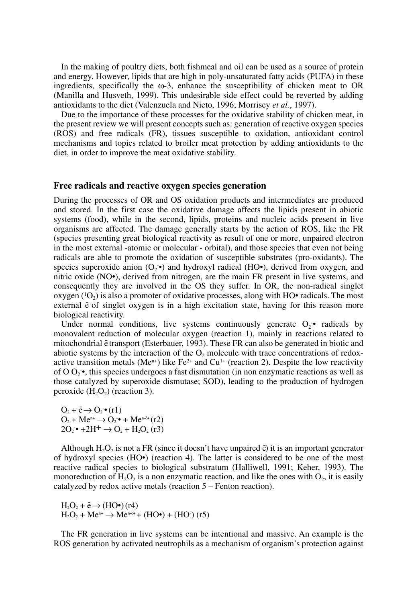In the making of poultry diets, both fishmeal and oil can be used as a source of protein and energy. However, lipids that are high in poly-unsaturated fatty acids (PUFA) in these ingredients, specifically the  $\omega$ -3, enhance the susceptibility of chicken meat to OR (Manilla and Husveth, 1999). This undesirable side effect could be reverted by adding antioxidants to the diet (Valenzuela and Nieto, 1996; Morrisey *et al.*, 1997).

Due to the importance of these processes for the oxidative stability of chicken meat, in the present review we will present concepts such as: generation of reactive oxygen species (ROS) and free radicals (FR), tissues susceptible to oxidation, antioxidant control mechanisms and topics related to broiler meat protection by adding antioxidants to the diet, in order to improve the meat oxidative stability.

## **Free radicals and reactive oxygen species generation**

During the processes of OR and OS oxidation products and intermediates are produced and stored. In the first case the oxidative damage affects the lipids present in abiotic systems (food), while in the second, lipids, proteins and nucleic acids present in live organisms are affected. The damage generally starts by the action of ROS, like the FR (species presenting great biological reactivity as result of one or more, unpaired electron in the most external -atomic or molecular - orbital), and those species that even not being radicals are able to promote the oxidation of susceptible substrates (pro-oxidants). The species superoxide anion  $(O_2^{\bullet})$  and hydroxyl radical (HO $^{\bullet}$ ), derived from oxygen, and nitric oxide (NO•), derived from nitrogen, are the main FR present in live systems, and consequently they are involved in the OS they suffer. In OR, the non-radical singlet oxygen  $(1O_2)$  is also a promoter of oxidative processes, along with HO• radicals. The most external  $\bar{e}$  of singlet oxygen is in a high excitation state, having for this reason more biological reactivity.

Under normal conditions, live systems continuously generate  $O_2$  radicals by monovalent reduction of molecular oxygen (reaction 1), mainly in reactions related to mitochondrial etransport (Esterbauer, 1993). These FR can also be generated in biotic and abiotic systems by the interaction of the  $O_2$  molecule with trace concentrations of redoxactive transition metals (Me<sup>n+</sup>) like Fe<sup>2+</sup> and Cu<sup>1+</sup> (reaction 2). Despite the low reactivity of O  $O_2$ <sup>•</sup>, this species undergoes a fast dismutation (in non enzymatic reactions as well as those catalyzed by superoxide dismutase; SOD), leading to the production of hydrogen peroxide  $(H_2O_2)$  (reaction 3).

 $O_2 + \bar{e} \rightarrow O_2 \bullet (r1)$  $O_2 + Me^{n+} \rightarrow O_2$ <sup>•</sup> + Me<sup>n-ē+</sup> (r2)  $2O_2 \cdot 42H^+ \rightarrow O_2 + H_2O_2$  (r3)

Although  $H_2O_2$  is not a FR (since it doesn't have unpaired  $\bar{e}$ ) it is an important generator of hydroxyl species (HO•) (reaction 4). The latter is considered to be one of the most reactive radical species to biological substratum (Halliwell, 1991; Keher, 1993). The monoreduction of  $H_2O_2$  is a non enzymatic reaction, and like the ones with  $O_2$ , it is easily catalyzed by redox active metals (reaction 5 – Fenton reaction).

 $H_2O_2 + \bar{e} \rightarrow (HO\bullet)(r4)$  $H_2O_2 + Me^{n+} \rightarrow Me^{n\cdot e^+} + (HO^{\bullet}) + (HO^{\bullet})$  (r5)

The FR generation in live systems can be intentional and massive. An example is the ROS generation by activated neutrophils as a mechanism of organism's protection against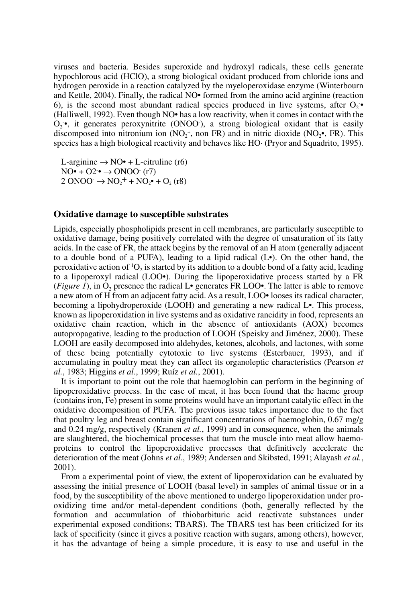viruses and bacteria. Besides superoxide and hydroxyl radicals, these cells generate hypochlorous acid (HClO), a strong biological oxidant produced from chloride ions and hydrogen peroxide in a reaction catalyzed by the myeloperoxidase enzyme (Winterbourn and Kettle, 2004). Finally, the radical NO• formed from the amino acid arginine (reaction 6), is the second most abundant radical species produced in live systems, after  $O_2$ . (Halliwell, 1992). Even though NO• has a low reactivity, when it comes in contact with the  $O_2$ <sup>•</sup>, it generates peroxynitrite (ONOO<sup>-</sup>), a strong biological oxidant that is easily discomposed into nitronium ion ( $NO_2^+$ , non FR) and in nitric dioxide ( $NO_2^{\bullet}$ , FR). This species has a high biological reactivity and behaves like HO· (Pryor and Squadrito, 1995).

L-arginine  $\rightarrow$  NO $\bullet$  + L-citruline (r6)  $NO\bullet + O2\bullet \rightarrow ONOO\bullet (r7)$  $2 \text{ ONOO} \rightarrow \text{NO}_2^+ + \text{NO}_2^+ + \text{O}_2 \text{ (r8)}$ 

## **Oxidative damage to susceptible substrates**

Lipids, especially phospholipids present in cell membranes, are particularly susceptible to oxidative damage, being positively correlated with the degree of unsaturation of its fatty acids. In the case of FR, the attack begins by the removal of an H atom (generally adjacent to a double bond of a PUFA), leading to a lipid radical  $(L<sup>o</sup>)$ . On the other hand, the peroxidative action of  ${}^{1}O_2$  is started by its addition to a double bond of a fatty acid, leading to a lipoperoxyl radical (LOO•). During the lipoperoxidative process started by a FR (*Figure 1*), in  $O_2$  presence the radical  $L^{\bullet}$  generates FR LOO $^{\bullet}$ . The latter is able to remove a new atom of H from an adjacent fatty acid. As a result, LOO• looses its radical character, becoming a lipohydroperoxide (LOOH) and generating a new radical L•. This process, known as lipoperoxidation in live systems and as oxidative rancidity in food, represents an oxidative chain reaction, which in the absence of antioxidants (AOX) becomes autopropagative, leading to the production of LOOH (Speisky and Jiménez, 2000). These LOOH are easily decomposed into aldehydes, ketones, alcohols, and lactones, with some of these being potentially cytotoxic to live systems (Esterbauer, 1993), and if accumulating in poultry meat they can affect its organoleptic characteristics (Pearson *et al.*, 1983; Higgins *et al.*, 1999; Ruíz *et al.*, 2001).

It is important to point out the role that haemoglobin can perform in the beginning of lipoperoxidative process. In the case of meat, it has been found that the haeme group (contains iron, Fe) present in some proteins would have an important catalytic effect in the oxidative decomposition of PUFA. The previous issue takes importance due to the fact that poultry leg and breast contain significant concentrations of haemoglobin, 0.67 mg/g and 0.24 mg/g, respectively (Kranen *et al.*, 1999) and in consequence, when the animals are slaughtered, the biochemical processes that turn the muscle into meat allow haemoproteins to control the lipoperoxidative processes that definitively accelerate the deterioration of the meat (Johns *et al.*, 1989; Andersen and Skibsted, 1991; Alayash *et al.*, 2001).

From a experimental point of view, the extent of lipoperoxidation can be evaluated by assessing the initial presence of LOOH (basal level) in samples of animal tissue or in a food, by the susceptibility of the above mentioned to undergo lipoperoxidation under prooxidizing time and/or metal-dependent conditions (both, generally reflected by the formation and accumulation of thiobarbituric acid reactivate substances under experimental exposed conditions; TBARS). The TBARS test has been criticized for its lack of specificity (since it gives a positive reaction with sugars, among others), however, it has the advantage of being a simple procedure, it is easy to use and useful in the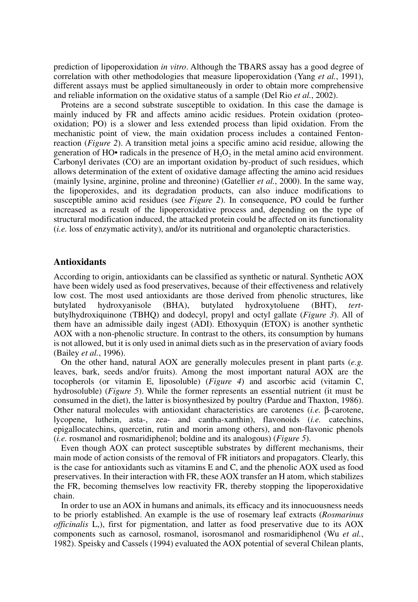prediction of lipoperoxidation *in vitro*. Although the TBARS assay has a good degree of correlation with other methodologies that measure lipoperoxidation (Yang *et al.*, 1991), different assays must be applied simultaneously in order to obtain more comprehensive and reliable information on the oxidative status of a sample (Del Rio *et al.*, 2002).

Proteins are a second substrate susceptible to oxidation. In this case the damage is mainly induced by FR and affects amino acidic residues. Protein oxidation (proteooxidation; PO) is a slower and less extended process than lipid oxidation. From the mechanistic point of view, the main oxidation process includes a contained Fentonreaction (*Figure 2*). A transition metal joins a specific amino acid residue, allowing the generation of  $HO\bullet$  radicals in the presence of  $H<sub>2</sub>O<sub>2</sub>$  in the metal amino acid environment. Carbonyl derivates (CO) are an important oxidation by-product of such residues, which allows determination of the extent of oxidative damage affecting the amino acid residues (mainly lysine, arginine, proline and threonine) (Gatellier *et al.*, 2000). In the same way, the lipoperoxides, and its degradation products, can also induce modifications to susceptible amino acid residues (see *Figure 2*). In consequence, PO could be further increased as a result of the lipoperoxidative process and, depending on the type of structural modification induced, the attacked protein could be affected on its functionality (*i.e.* loss of enzymatic activity), and/or its nutritional and organoleptic characteristics.

## **Antioxidants**

According to origin, antioxidants can be classified as synthetic or natural. Synthetic AOX have been widely used as food preservatives, because of their effectiveness and relatively low cost. The most used antioxidants are those derived from phenolic structures, like butylated hydroxyanisole (BHA), butylated hydroxytoluene (BHT), *tert*butylhydroxiquinone (TBHQ) and dodecyl, propyl and octyl gallate (*Figure 3*). All of them have an admissible daily ingest (ADI). Ethoxyquin (ETOX) is another synthetic AOX with a non-phenolic structure. In contrast to the others, its consumption by humans is not allowed, but it is only used in animal diets such as in the preservation of aviary foods (Bailey *et al.*, 1996).

On the other hand, natural AOX are generally molecules present in plant parts (*e.g.* leaves, bark, seeds and/or fruits). Among the most important natural AOX are the tocopherols (or vitamin E, liposoluble) (*Figure 4*) and ascorbic acid (vitamin C, hydrosoluble) (*Figure 5*). While the former represents an essential nutrient (it must be consumed in the diet), the latter is biosynthesized by poultry (Pardue and Thaxton, 1986). Other natural molecules with antioxidant characteristics are carotenes (*i.e.* β-carotene, lycopene, luthein, asta-, zea- and cantha-xanthin), flavonoids (*i.e.* catechins, epigallocatechins, quercetin, rutin and morin among others), and non-flavonic phenols (*i.e.* rosmanol and rosmaridiphenol; boldine and its analogous) (*Figure 5*).

Even though AOX can protect susceptible substrates by different mechanisms, their main mode of action consists of the removal of FR initiators and propagators. Clearly, this is the case for antioxidants such as vitamins E and C, and the phenolic AOX used as food preservatives. In their interaction with FR, these AOX transfer an H atom, which stabilizes the FR, becoming themselves low reactivity FR, thereby stopping the lipoperoxidative chain.

In order to use an AOX in humans and animals, its efficacy and its innocuousness needs to be priorly established. An example is the use of rosemary leaf extracts (*Rosmarinus officinalis* L,), first for pigmentation, and latter as food preservative due to its AOX components such as carnosol, rosmanol, isorosmanol and rosmaridiphenol (Wu *et al.*, 1982). Speisky and Cassels (1994) evaluated the AOX potential of several Chilean plants,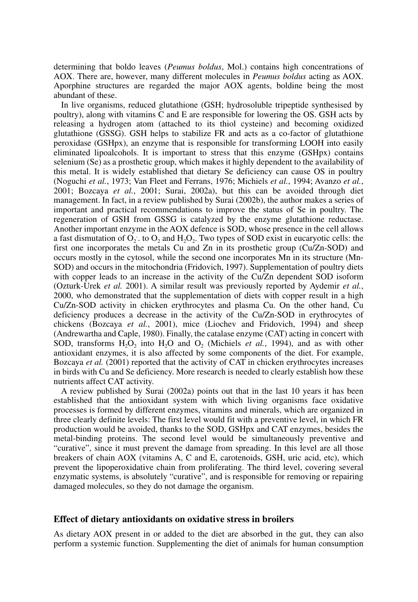determining that boldo leaves (*Peumus boldus*, Mol.) contains high concentrations of AOX. There are, however, many different molecules in *Peumus boldus* acting as AOX. Aporphine structures are regarded the major AOX agents, boldine being the most abundant of these.

In live organisms, reduced glutathione (GSH; hydrosoluble tripeptide synthesised by poultry), along with vitamins C and E are responsible for lowering the OS. GSH acts by releasing a hydrogen atom (attached to its thiol cysteine) and becoming oxidized glutathione (GSSG). GSH helps to stabilize FR and acts as a co-factor of glutathione peroxidase (GSHpx), an enzyme that is responsible for transforming LOOH into easily eliminated lipoalcohols. It is important to stress that this enzyme (GSHpx) contains selenium (Se) as a prosthetic group, which makes it highly dependent to the availability of this metal. It is widely established that dietary Se deficiency can cause OS in poultry (Noguchi *et al.*, 1973; Van Fleet and Ferrans, 1976; Michiels *et al.*, 1994; Avanzo *et al.*, 2001; Bozcaya *et al.*, 2001; Surai, 2002a), but this can be avoided through diet management. In fact, in a review published by Surai (2002b), the author makes a series of important and practical recommendations to improve the status of Se in poultry. The regeneration of GSH from GSSG is catalyzed by the enzyme glutathione reductase. Another important enzyme in the AOX defence is SOD, whose presence in the cell allows a fast dismutation of  $O_2$ . to  $O_2$  and  $H_2O_2$ . Two types of SOD exist in eucaryotic cells: the first one incorporates the metals Cu and Zn in its prosthetic group (Cu/Zn-SOD) and occurs mostly in the cytosol, while the second one incorporates Mn in its structure (Mn-SOD) and occurs in the mitochondria (Fridovich, 1997). Supplementation of poultry diets with copper leads to an increase in the activity of the Cu/Zn dependent SOD isoform (Ozturk-Urek *et al.* 2001). A similar result was previously reported by Aydemir *et al.*, 2000, who demonstrated that the supplementation of diets with copper result in a high Cu/Zn-SOD activity in chicken erythrocytes and plasma Cu. On the other hand, Cu deficiency produces a decrease in the activity of the Cu/Zn-SOD in erythrocytes of chickens (Bozcaya *et al.*, 2001), mice (Liochev and Fridovich, 1994) and sheep (Andrewartha and Caple, 1980). Finally, the catalase enzyme (CAT) acting in concert with SOD, transforms  $H_2O_2$  into  $H_2O$  and  $O_2$  (Michiels *et al.*, 1994), and as with other antioxidant enzymes, it is also affected by some components of the diet. For example, Bozcaya *et al.* (2001) reported that the activity of CAT in chicken erythrocytes increases in birds with Cu and Se deficiency. More research is needed to clearly establish how these nutrients affect CAT activity.

A review published by Surai (2002a) points out that in the last 10 years it has been established that the antioxidant system with which living organisms face oxidative processes is formed by different enzymes, vitamins and minerals, which are organized in three clearly definite levels: The first level would fit with a preventive level, in which FR production would be avoided, thanks to the SOD, GSHpx and CAT enzymes, besides the metal-binding proteins. The second level would be simultaneously preventive and "curative", since it must prevent the damage from spreading. In this level are all those breakers of chain AOX (vitamins A, C and E, carotenoids, GSH, uric acid, etc), which prevent the lipoperoxidative chain from proliferating. The third level, covering several enzymatic systems, is absolutely "curative", and is responsible for removing or repairing damaged molecules, so they do not damage the organism.

## **Effect of dietary antioxidants on oxidative stress in broilers**

As dietary AOX present in or added to the diet are absorbed in the gut, they can also perform a systemic function. Supplementing the diet of animals for human consumption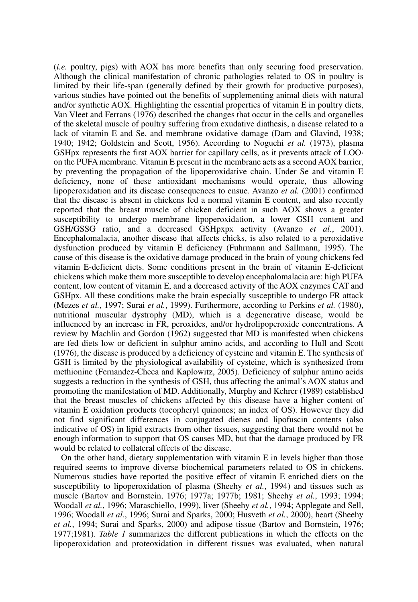(*i.e.* poultry, pigs) with AOX has more benefits than only securing food preservation. Although the clinical manifestation of chronic pathologies related to OS in poultry is limited by their life-span (generally defined by their growth for productive purposes), various studies have pointed out the benefits of supplementing animal diets with natural and/or synthetic AOX. Highlighting the essential properties of vitamin E in poultry diets, Van Vleet and Ferrans (1976) described the changes that occur in the cells and organelles of the skeletal muscle of poultry suffering from exudative diathesis, a disease related to a lack of vitamin E and Se, and membrane oxidative damage (Dam and Glavind, 1938; 1940; 1942; Goldstein and Scott, 1956). According to Noguchi *et al.* (1973), plasma GSHpx represents the first AOX barrier for capillary cells, as it prevents attack of LOO· on the PUFA membrane. Vitamin E present in the membrane acts as a second AOX barrier, by preventing the propagation of the lipoperoxidative chain. Under Se and vitamin E deficiency, none of these antioxidant mechanisms would operate, thus allowing lipoperoxidation and its disease consequences to ensue. Avanzo *et al.* (2001) confirmed that the disease is absent in chickens fed a normal vitamin E content, and also recently reported that the breast muscle of chicken deficient in such AOX shows a greater susceptibility to undergo membrane lipoperoxidation, a lower GSH content and GSH/GSSG ratio, and a decreased GSHpxpx activity (Avanzo *et al.*, 2001). Encephalomalacia, another disease that affects chicks, is also related to a peroxidative dysfunction produced by vitamin E deficiency (Fuhrmann and Sallmann, 1995). The cause of this disease is the oxidative damage produced in the brain of young chickens fed vitamin E-deficient diets. Some conditions present in the brain of vitamin E-deficient chickens which make them more susceptible to develop encephalomalacia are: high PUFA content, low content of vitamin E, and a decreased activity of the AOX enzymes CAT and GSHpx. All these conditions make the brain especially susceptible to undergo FR attack (Mezes *et al.*, 1997; Surai *et al.*, 1999). Furthermore, according to Perkins *et al.* (1980), nutritional muscular dystrophy (MD), which is a degenerative disease, would be influenced by an increase in FR, peroxides, and/or hydrolipoperoxide concentrations. A review by Machlin and Gordon (1962) suggested that MD is manifested when chickens are fed diets low or deficient in sulphur amino acids, and according to Hull and Scott (1976), the disease is produced by a deficiency of cysteine and vitamin E. The synthesis of GSH is limited by the physiological availability of cysteine, which is synthesized from methionine (Fernandez-Checa and Kaplowitz, 2005). Deficiency of sulphur amino acids suggests a reduction in the synthesis of GSH, thus affecting the animal's AOX status and promoting the manifestation of MD. Additionally, Murphy and Kehrer (1989) established that the breast muscles of chickens affected by this disease have a higher content of vitamin E oxidation products (tocopheryl quinones; an index of OS). However they did not find significant differences in conjugated dienes and lipofuscin contents (also indicative of OS) in lipid extracts from other tissues, suggesting that there would not be enough information to support that OS causes MD, but that the damage produced by FR would be related to collateral effects of the disease.

On the other hand, dietary supplementation with vitamin E in levels higher than those required seems to improve diverse biochemical parameters related to OS in chickens. Numerous studies have reported the positive effect of vitamin E enriched diets on the susceptibility to lipoperoxidation of plasma (Sheehy *et al.*, 1994) and tissues such as muscle (Bartov and Bornstein, 1976; 1977a; 1977b; 1981; Sheehy *et al.*, 1993; 1994; Woodall *et al.*, 1996; Maraschiello, 1999), liver (Sheehy *et al.*, 1994; Applegate and Sell, 1996; Woodall *et al.*, 1996; Surai and Sparks, 2000; Husveth *et al.*, 2000), heart (Sheehy *et al.*, 1994; Surai and Sparks, 2000) and adipose tissue (Bartov and Bornstein, 1976; 1977;1981). *Table 1* summarizes the different publications in which the effects on the lipoperoxidation and proteoxidation in different tissues was evaluated, when natural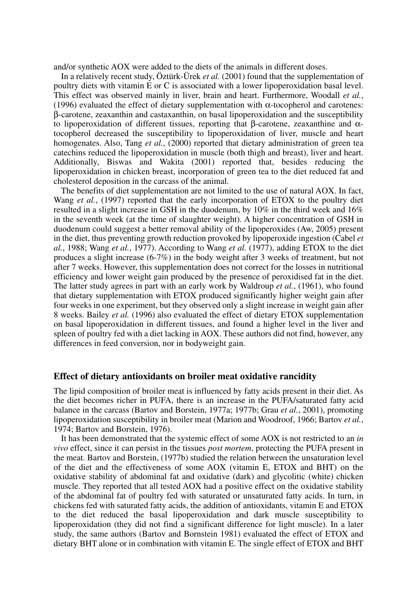and/or synthetic AOX were added to the diets of the animals in different doses.

In a relatively recent study, Öztürk-Ürek *et al.* (2001) found that the supplementation of poultry diets with vitamin E or C is associated with a lower lipoperoxidation basal level. This effect was observed mainly in liver, brain and heart. Furthermore, Woodall *et al.*, (1996) evaluated the effect of dietary supplementation with  $\alpha$ -tocopherol and carotenes: β-carotene, zeaxanthin and castaxanthin, on basal lipoperoxidation and the susceptibility to lipoperoxidation of different tissues, reporting that β-carotene, zeaxanthine and  $\alpha$ tocopherol decreased the susceptibility to lipoperoxidation of liver, muscle and heart homogenates. Also, Tang *et al.*, (2000) reported that dietary administration of green tea catechins reduced the lipoperoxidation in muscle (both thigh and breast), liver and heart. Additionally, Biswas and Wakita (2001) reported that, besides reducing the lipoperoxidation in chicken breast, incorporation of green tea to the diet reduced fat and cholesterol deposition in the carcass of the animal.

The benefits of diet supplementation are not limited to the use of natural AOX. In fact, Wang *et al.*, (1997) reported that the early incorporation of ETOX to the poultry diet resulted in a slight increase in GSH in the duodenum, by 10% in the third week and 16% in the seventh week (at the time of slaughter weight). A higher concentration of GSH in duodenum could suggest a better removal ability of the lipoperoxides (Aw, 2005) present in the diet, thus preventing growth reduction provoked by lipoperoxide ingestion (Cabel *et al.*, 1988; Wang *et al.*, 1977). According to Wang *et al.* (1977), adding ETOX to the diet produces a slight increase (6-7%) in the body weight after 3 weeks of treatment, but not after 7 weeks. However, this supplementation does not correct for the losses in nutritional efficiency and lower weight gain produced by the presence of peroxidised fat in the diet. The latter study agrees in part with an early work by Waldroup *et al.*, (1961), who found that dietary supplementation with ETOX produced significantly higher weight gain after four weeks in one experiment, but they observed only a slight increase in weight gain after 8 weeks. Bailey *et al.* (1996) also evaluated the effect of dietary ETOX supplementation on basal lipoperoxidation in different tissues, and found a higher level in the liver and spleen of poultry fed with a diet lacking in AOX. These authors did not find, however, any differences in feed conversion, nor in bodyweight gain.

### **Effect of dietary antioxidants on broiler meat oxidative rancidity**

The lipid composition of broiler meat is influenced by fatty acids present in their diet. As the diet becomes richer in PUFA, there is an increase in the PUFA/saturated fatty acid balance in the carcass (Bartov and Borstein, 1977a; 1977b; Grau *et al.*, 2001), promoting lipoperoxidation susceptibility in broiler meat (Marion and Woodroof, 1966; Bartov *et al.*, 1974; Bartov and Borstein, 1976).

It has been demonstrated that the systemic effect of some AOX is not restricted to an *in vivo* effect, since it can persist in the tissues *post mortem*, protecting the PUFA present in the meat. Bartov and Borstein, (1977b) studied the relation between the unsaturation level of the diet and the effectiveness of some AOX (vitamin E, ETOX and BHT) on the oxidative stability of abdominal fat and oxidative (dark) and glycolitic (white) chicken muscle. They reported that all tested AOX had a positive effect on the oxidative stability of the abdominal fat of poultry fed with saturated or unsaturated fatty acids. In turn, in chickens fed with saturated fatty acids, the addition of antioxidants, vitamin E and ETOX to the diet reduced the basal lipoperoxidation and dark muscle susceptibility to lipoperoxidation (they did not find a significant difference for light muscle). In a later study, the same authors (Bartov and Bornstein 1981) evaluated the effect of ETOX and dietary BHT alone or in combination with vitamin E. The single effect of ETOX and BHT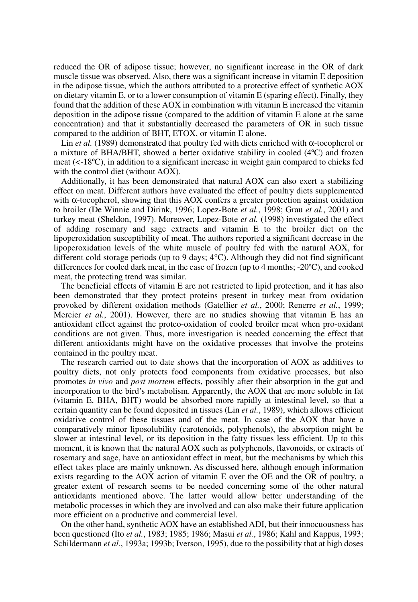reduced the OR of adipose tissue; however, no significant increase in the OR of dark muscle tissue was observed. Also, there was a significant increase in vitamin E deposition in the adipose tissue, which the authors attributed to a protective effect of synthetic AOX on dietary vitamin E, or to a lower consumption of vitamin E (sparing effect). Finally, they found that the addition of these AOX in combination with vitamin E increased the vitamin deposition in the adipose tissue (compared to the addition of vitamin E alone at the same concentration) and that it substantially decreased the parameters of OR in such tissue compared to the addition of BHT, ETOX, or vitamin E alone.

Lin *et al.* (1989) demonstrated that poultry fed with diets enriched with  $\alpha$ -tocopherol or a mixture of BHA/BHT, showed a better oxidative stability in cooled (4ºC) and frozen meat (<-18ºC), in addition to a significant increase in weight gain compared to chicks fed with the control diet (without AOX).

Additionally, it has been demonstrated that natural AOX can also exert a stabilizing effect on meat. Different authors have evaluated the effect of poultry diets supplemented with  $\alpha$ -tocopherol, showing that this AOX confers a greater protection against oxidation to broiler (De Winnie and Dirink, 1996; Lopez-Bote *et al.*, 1998; Grau *et al.*, 2001) and turkey meat (Sheldon, 1997). Moreover, Lopez-Bote *et al.* (1998) investigated the effect of adding rosemary and sage extracts and vitamin E to the broiler diet on the lipoperoxidation susceptibility of meat. The authors reported a significant decrease in the lipoperoxidation levels of the white muscle of poultry fed with the natural AOX, for different cold storage periods (up to 9 days; 4°C). Although they did not find significant differences for cooled dark meat, in the case of frozen (up to 4 months; -20ºC), and cooked meat, the protecting trend was similar.

The beneficial effects of vitamin E are not restricted to lipid protection, and it has also been demonstrated that they protect proteins present in turkey meat from oxidation provoked by different oxidation methods (Gatellier *et al.*, 2000; Renerre *et al.*, 1999; Mercier *et al.*, 2001). However, there are no studies showing that vitamin E has an antioxidant effect against the proteo-oxidation of cooled broiler meat when pro-oxidant conditions are not given. Thus, more investigation is needed concerning the effect that different antioxidants might have on the oxidative processes that involve the proteins contained in the poultry meat.

The research carried out to date shows that the incorporation of AOX as additives to poultry diets, not only protects food components from oxidative processes, but also promotes *in vivo* and *post mortem* effects, possibly after their absorption in the gut and incorporation to the bird's metabolism. Apparently, the AOX that are more soluble in fat (vitamin E, BHA, BHT) would be absorbed more rapidly at intestinal level, so that a certain quantity can be found deposited in tissues (Lin *et al.*, 1989), which allows efficient oxidative control of these tissues and of the meat. In case of the AOX that have a comparatively minor liposolubility (carotenoids, polyphenols), the absorption might be slower at intestinal level, or its deposition in the fatty tissues less efficient. Up to this moment, it is known that the natural AOX such as polyphenols, flavonoids, or extracts of rosemary and sage, have an antioxidant effect in meat, but the mechanisms by which this effect takes place are mainly unknown. As discussed here, although enough information exists regarding to the AOX action of vitamin E over the OE and the OR of poultry, a greater extent of research seems to be needed concerning some of the other natural antioxidants mentioned above. The latter would allow better understanding of the metabolic processes in which they are involved and can also make their future application more efficient on a productive and commercial level.

On the other hand, synthetic AOX have an established ADI, but their innocuousness has been questioned (Ito *et al.*, 1983; 1985; 1986; Masui *et al.*, 1986; Kahl and Kappus, 1993; Schildermann *et al.*, 1993a; 1993b; Iverson, 1995), due to the possibility that at high doses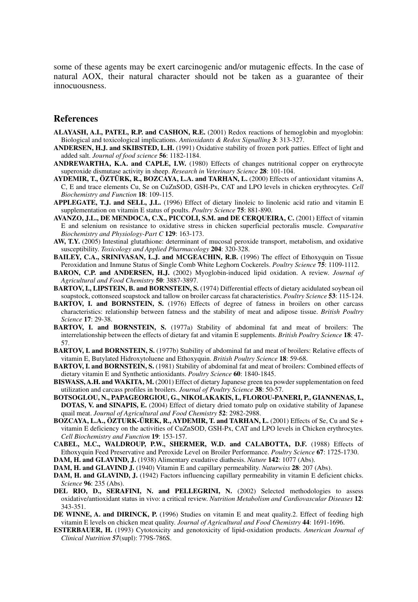some of these agents may be exert carcinogenic and/or mutagenic effects. In the case of natural AOX, their natural character should not be taken as a guarantee of their innocuousness.

## **References**

- **ALAYASH, A.I., PATEL, R.P. and CASHON, R.E.** (2001) Redox reactions of hemoglobin and myoglobin: Biological and toxicological implications. *Antioxidants & Redox Signalling* **3**: 313-327.
- **ANDERSEN, H.J. and SKIBSTED, L.H.** (1991) Oxidative stability of frozen pork patties. Effect of light and added salt. *Journal of food science* **56**: 1182-1184.
- **ANDREWARTHA, K.A. and CAPLE, I.W.** (1980) Effects of changes nutritional copper on erythrocyte superoxide dismutase activity in sheep. *Research in Veterinary Science* **28**: 101-104.
- **AYDEMIR, T., ÖZTÜRK, R., BOZCAYA, L.A. and TARHAN, L.** (2000) Effects of antioxidant vitamins A, C, E and trace elements Cu, Se on CuZnSOD, GSH-Px, CAT and LPO levels in chicken erythrocytes. *Cell Biochemistry and Function* **18**: 109-115.
- **APPLEGATE, T.J. and SELL, J.L.** (1996) Effect of dietary linoleic to linolenic acid ratio and vitamin E supplementation on vitamin E status of poults. *Poultry Science* **75**: 881-890.
- AVANZO, J.L., DE MENDOCA, C.X., PICCOLI, S.M. and DE CERQUEIRA, C. (2001) Effect of vitamin E and selenium on resistance to oxidative stress in chicken superficial pectoralis muscle. *Comparative Biochemistry and Physiology-Part C* **129**: 163-173.
- **AW, T.Y.** (2005) Intestinal glutathione: determinant of mucosal peroxide transport, metabolism, and oxidative susceptibility. *Toxicology and Applied Pharmacology* **204**: 320-328.
- **BAILEY, C.A., SRINIVASAN, L.J. and MCGEACHIN, R.B.** (1996) The effect of Ethoxyquin on Tissue Peroxidation and Inmune Status of Single Comb White Leghorn Cockerels. *Poultry Science* **75**: 1109-1112.
- **BARON, C.P. and ANDERSEN, H.J.** (2002) Myoglobin-induced lipid oxidation. A review. *Journal of Agricultural and Food Chemistry* **50**: 3887-3897.
- **BARTOV, I., LIPSTEIN, B. and BORNSTEIN, S.** (1974) Differential effects of dietary acidulated soybean oil soapstock, cottonseed soapstock and tallow on broiler carcass fat characteristics. *Poultry Science* **53**: 115-124.
- **BARTOV, I. and BORNSTEIN, S.** (1976) Effects of degree of fatness in broilers on other carcass characteristics: relationship between fatness and the stability of meat and adipose tissue. *British Poultry Science* **17**: 29-38.
- **BARTOV, I. and BORNSTEIN, S.** (1977a) Stability of abdominal fat and meat of broilers: The interrelationship between the effects of dietary fat and vitamin E supplements. *British Poultry Science* **18**: 47- 57.
- **BARTOV, I. and BORNSTEIN, S.** (1977b) Stability of abdominal fat and meat of broilers: Relative effects of vitamin E, Butylated Hidroxytoluene and Ethoxyquin. *British Poultry Science* **18**: 59-68.
- **BARTOV, I. and BORNSTEIN, S.** (1981) Stability of abdominal fat and meat of broilers: Combined effects of dietary vitamin E and Synthetic antioxidants. *Poultry Science* **60**: 1840-1845.
- **BISWASS, A.H. and WAKITA, M.** (2001) Effect of dietary Japanese green tea powder supplementation on feed utilization and carcass profiles in broilers. *Journal of Poultry Science* **38**: 50-57.
- **BOTSOGLOU, N., PAPAGEORGIOU, G., NIKOLAKAKIS, I., FLOROU-PANERI, P., GIANNENAS, I., DOTAS, V. and SINAPIS, E.** (2004) Effect of dietary dried tomato pulp on oxidative stability of Japanese quail meat. *Journal of Agricultural and Food Chemistry* **52**: 2982-2988.
- **BOZCAYA, L.A., ÖZTURK-ÜREK, R., AYDEMIR, T. and TARHAN, L.** (2001) Effects of Se, Cu and Se + vitamin E deficiency on the activities of CuZnSOD, GSH-Px, CAT and LPO levels in Chicken erythrocytes. *Cell Biochemistry and Function* **19**: 153-157.
- **CABEL, M.C., WALDROUP, P.W., SHERMER, W.D. and CALABOTTA, D.F.** (1988) Effects of Ethoxyquin Feed Preservative and Peroxide Level on Broiler Performance. *Poultry Science* **67**: 1725-1730.
- **DAM, H. and GLAVIND, J.** (1938) Alimentary exudative diathesis. *Nature* **142**: 1077 (Abs).
- **DAM, H. and GLAVIND J.** (1940) Vitamin E and capillary permeability. *Naturwiss* **28**: 207 (Abs).
- **DAM, H. and GLAVIND, J.** (1942) Factors influencing capillary permeability in vitamin E deficient chicks. *Science* **96**: 235 (Abs).
- **DEL RIO, D., SERAFINI, N. and PELLEGRINI, N.** (2002) Selected methodologies to assess oxidative/antioxidant status in vivo: a critical review. *Nutrition Metabolism and Cardiovascular Diseases* **12**: 343-351.
- **DE WINNE, A. and DIRINCK, P.** (1996) Studies on vitamin E and meat quality.2. Effect of feeding high vitamin E levels on chicken meat quality. *Journal of Agricultural and Food Chemistry* **44**: 1691-1696.
- **ESTERBAUER, H.** (1993) Cytotoxicity and genotoxicity of lipid-oxidation products. *American Journal of Clinical Nutrition 57*(supl): 779S-786S.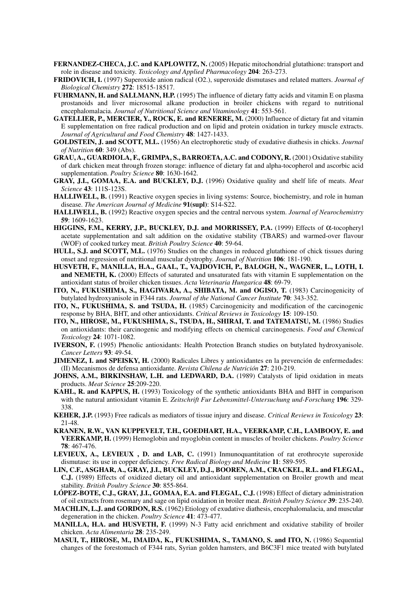- **FERNANDEZ-CHECA, J.C. and KAPLOWITZ, N.** (2005) Hepatic mitochondrial glutathione: transport and role in disease and toxicity. *Toxicology and Applied Pharmacology* **204**: 263-273.
- **FRIDOVICH, I.** (1997) Superoxide anion radical (O2.), superoxide dismutases and related matters. *Journal of Biological Chemistry* **272**: 18515-18517.
- **FUHRMANN, H. and SALLMANN, H.P.** (1995) The influence of dietary fatty acids and vitamin E on plasma prostanoids and liver microsomal alkane production in broiler chickens with regard to nutritional encephalomalacia. *Journal of Nutritional Science and Vitaminology* **41**: 553-561.
- **GATELLIER, P., MERCIER, Y., ROCK, E. and RENERRE, M.** (2000) Influence of dietary fat and vitamin E supplementation on free radical production and on lipid and protein oxidation in turkey muscle extracts. *Journal of Agricultural and Food Chemistry* **48**: 1427-1433.
- **GOLDSTEIN, J. and SCOTT, M.L.** (1956) An electrophoretic study of exudative diathesis in chicks. *Journal of Nutrition* **60**: 349 (Abs).
- **GRAU, A., GUARDIOLA, F., GRIMPA, S., BARROETA, A.C. and CODONY, R.** (2001) Oxidative stability of dark chicken meat through frozen storage: influence of dietary fat and alpha-tocopherol and ascorbic acid supplementation. *Poultry Science* **80**: 1630-1642.
- **GRAY, J.I., GOMAA, E.A. and BUCKLEY, D.J.** (1996) Oxidative quality and shelf life of meats. *Meat Science* **43**: 111S-123S.
- **HALLIWELL, B.** (1991) Reactive oxygen species in living systems: Source, biochemistry, and role in human disease. *The American Journal of Medicine* **91(supl)**: S14-S22.
- **HALLIWELL, B.** (1992) Reactive oxygen species and the central nervous system. *Journal of Neurochemistry* **59**: 1609-1623.
- **HIGGINS, F.M., KERRY, J.P., BUCKLEY, D.J. and MORRISSEY, P.A.** (1999) Effects of α-tocopheryl acetate supplementation and salt addition on the oxidative stability (TBARS) and warmed-over flavour (WOF) of cooked turkey meat. *British Poultry Science* **40**: 59-64.
- **HULL, S.J. and SCOTT, M.L.** (1976) Studies on the changes in reduced glutathione of chick tissues during onset and regression of nutritional muscular dystrophy. *Journal of Nutrition* **106**: 181-190.
- **HUSVETH, F., MANILLA, H.A., GAAL, T., VAJDOVICH, P., BALOGH, N., WAGNER, L., LOTH, I. and NEMETH, K.** (2000) Effects of saturated and unsaturated fats with vitamin E supplementation on the antioxidant status of broiler chicken tissues. *Acta Veterinaria Hungarica* **48**: 69-79.
- **ITO, N., FUKUSHIMA, S., HAGIWARA, A., SHIBATA, M. and OGISO, T.** (1983) Carcinogenicity of butylated hydroxyanisole in F344 rats. *Journal of the National Cancer Institute* **70**: 343-352.
- **ITO, N., FUKUSHIMA, S. and TSUDA, H.** (1985) Carcinogenicity and modification of the carcinogenic response by BHA, BHT, and other antioxidants. *Critical Reviews in Toxicology* **15**: 109-150.
- **ITO, N., HIROSE, M., FUKUSHIMA, S., TSUDA, H., SHIRAI, T. and TATEMATSU, M.** (1986) Studies on antioxidants: their carcinogenic and modifying effects on chemical carcinogenesis. *Food and Chemical Toxicology* **24**: 1071-1082.
- **IVERSON, F.** (1995) Phenolic antioxidants: Health Protection Branch studies on butylated hydroxyanisole. *Cancer Letters* **93**: 49-54.
- **JIMENEZ, I. and SPEISKY, H.** (2000) Radicales Libres y antioxidantes en la prevención de enfermedades: (II) Mecanismos de defensa antioxidante. *Revista Chilena de Nutrición* **27**: 210-219.
- **JOHNS, A.M., BIRKINSHAW, L.H. and LEDWARD, D.A.** (1989) Catalysts of lipid oxidation in meats products. *Meat Science* **25**:209-220.
- **KAHL, R. and KAPPUS, H.** (1993) Toxicology of the synthetic antioxidants BHA and BHT in comparison with the natural antioxidant vitamin E. Zeitschrift Fur Lebensmittel-Untersuchung und-Forschung **196**: 329-338.
- **KEHER, J.P.** (1993) Free radicals as mediators of tissue injury and disease. *Critical Reviews in Toxicology* **23**: 21-48.
- **KRANEN, R.W., VAN KUPPEVELT, T.H., GOEDHART, H.A., VEERKAMP, C.H., LAMBOOY, E. and VEERKAMP, H.** (1999) Hemoglobin and myoglobin content in muscles of broiler chickens. *Poultry Science* **78**: 467-476.
- LEVIEUX, A., LEVIEUX, D. and LAB, C. (1991) Inmunoquantitation of rat erothrocyte superoxide dismutase: its use in copper deficiency. *Free Radical Biology and Medicine* **11**: 589-595.
- **LIN, C.F., ASGHAR, A., GRAY, J.I., BUCKLEY, D.J., BOOREN, A.M., CRACKEL, R.L. and FLEGAL, C.J.** (1989) Effects of oxidized dietary oil and antioxidant supplementation on Broiler growth and meat stability. *British Poultry Science* **30**: 855-864.
- **LÓPEZ-BOTE, C.J., GRAY, J.I., GOMAA, E.A. and FLEGAL, C.J.** (1998) Effect of dietary administration of oil extracts from rosemary and sage on lipid oxidation in broiler meat. *British Poultry Science* **39**: 235-240.
- **MACHLIN, L.J. and GORDON, R.S.** (1962) Etiology of exudative diathesis, encephalomalacia, and muscular degeneration in the chicken. *Poultry Science* **41**: 473-477.
- **MANILLA, H.A. and HUSVETH, F.** (1999) N-3 Fatty acid enrichment and oxidative stability of broiler chicken. *Acta Alimentaria* **28**: 235-249.
- **MASUI, T., HIROSE, M., IMAIDA, K., FUKUSHIMA, S., TAMANO, S. and ITO, N.** (1986) Sequential changes of the forestomach of F344 rats, Syrian golden hamsters, and B6C3F1 mice treated with butylated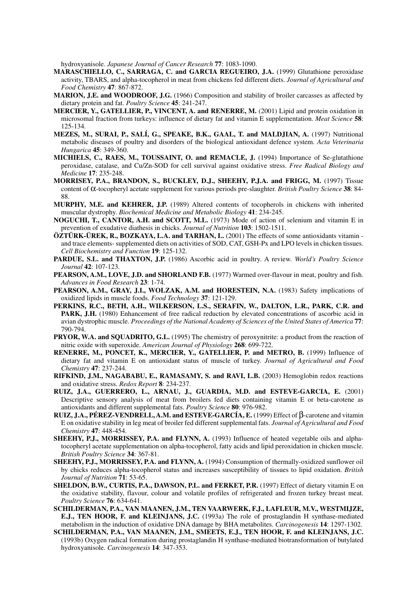hydroxyanisole. *Japanese Journal of Cancer Research* **77**: 1083-1090.

- **MARASCHIELLO, C., SARRAGA, C. and GARCIA REGUEIRO, J.A.** (1999) Glutathione peroxidase activity, TBARS, and alpha-tocopherol in meat from chickens fed different diets. *Journal of Agricultural and Food Chemistry* **47**: 867-872.
- MARION, J.E. and WOODROOF, J.G. (1966) Composition and stability of broiler carcasses as affected by dietary protein and fat. *Poultry Science* **45**: 241-247.
- **MERCIER, Y., GATELLIER, P., VINCENT, A. and RENERRE, M.** (2001) Lipid and protein oxidation in microsomal fraction from turkeys: influence of dietary fat and vitamin E supplementation. *Meat Science* **58**: 125-134.
- **MEZES, M., SURAI, P., SALÍ, G., SPEAKE, B.K., GAAL, T. and MALDJIAN, A.** (1997) Nutritional metabolic diseases of poultry and disorders of the biological antioxidant defence system. *Acta Veterinaria Hungarica* **45**: 349-360.
- **MICHIELS, C., RAES, M., TOUSSAINT, O. and REMACLE, J.** (1994) Importance of Se-glutathione peroxidase, catalase, and Cu/Zn-SOD for cell survival against oxidative stress. *Free Radical Biology and Medicine* **17**: 235-248.
- **MORRISEY, P.A., BRANDON, S., BUCKLEY, D.J., SHEEHY, P.J.A. and FRIGG, M.** (1997) Tissue content of α-tocopheryl acetate supplement for various periods pre-slaughter. *British Poultry Science* **38**: 84- 88.
- **MURPHY, M.E. and KEHRER, J.P.** (1989) Altered contents of tocopherols in chickens with inherited muscular dystrophy. *Biochemical Medicine and Metabolic Biology* **41**: 234-245.
- **NOGUCHI, T., CANTOR, A.H. and SCOTT, M.L.** (1973) Mode of action of selenium and vitamin E in prevention of exudative diathesis in chicks. *Journal of Nutrition* **103**: 1502-1511.
- **ÖZTÜRK-ÜREK, R., BOZKAYA, L.A. and TARHAN, L.** (2001) The effects of some antioxidants vitamin and trace elements- supplemented diets on activities of SOD, CAT, GSH-Px and LPO levels in chicken tissues. *Cell Biochemistry and Function* **19**: 125-132.
- **PARDUE, S.L. and THAXTON, J.P.** (1986) Ascorbic acid in poultry. A review. *World's Poultry Science Journal* **42**: 107-123.
- **PEARSON, A.M., LOVE, J.D. and SHORLAND F.B.** (1977) Warmed over-flavour in meat, poultry and fish. *Advances in Food Research* **23**: 1-74.
- **PEARSON, A.M., GRAY, J.I., WOLZAK, A.M. and HORESTEIN, N.A.** (1983) Safety implications of oxidized lipids in muscle foods. *Food Technology* **37**: 121-129.
- **PERKINS, R.C., BETH, A.H., WILKERSON, L.S., SERAFIN, W., DALTON, L.R., PARK, C.R. and** PARK, J.H. (1980) Enhancement of free radical reduction by elevated concentrations of ascorbic acid in avian dystrophic muscle. *Proceedings of the National Academy of Sciences of the United States of America* **77**: 790-794.
- **PRYOR, W.A. and SQUADRITO, G.L.** (1995) The chemistry of peroxynitrite: a product from the reaction of nitric oxide with superoxide. *American Journal of Physiology* **268**: 699-722.
- **RENERRE, M., PONCET, K., MERCIER, Y., GATELLIER, P. and METRO, B.** (1999) Influence of dietary fat and vitamin E on antioxidant status of muscle of turkey. *Journal of Agricultural and Food Chemistry* **47**: 237-244.
- **RIFKIND, J.M., NAGABABU, E., RAMASAMY, S. and RAVI, L.B.** (2003) Hemoglobin redox reactions and oxidative stress. *Redox Report* **8**: 234-237.
- **RUIZ, J.A., GUERRERO, L., ARNAU, J., GUARDIA, M.D. and ESTEVE-GARCIA, E.** (2001) Descriptive sensory analysis of meat from broilers fed diets containing vitamin E or beta-carotene as antioxidants and different supplemental fats. *Poultry Science* **80**: 976-982.
- **RUIZ, J.A., PÉREZ-VENDRELL, A.M. and ESTEVE-GARCÍA, E.** (1999) Effect of β-carotene and vitamin E on oxidative stability in leg meat of broiler fed different supplemental fats. *Journal of Agricultural and Food Chemistry* **47**: 448-454.
- **SHEEHY, P.J., MORRISSEY, P.A. and FLYNN, A.** (1993) Influence of heated vegetable oils and alphatocopheryl acetate supplementation on alpha-tocopherol, fatty acids and lipid peroxidation in chicken muscle. *British Poultry Science* **34**: 367-81.
- **SHEEHY, P.J., MORRISSEY, P.A. and FLYNN, A.** (1994) Consumption of thermally-oxidized sunflower oil by chicks reduces alpha-tocopherol status and increases susceptibility of tissues to lipid oxidation. *British Journal of Nutrition* **71**: 53-65.
- **SHELDON, B.W., CURTIS, P.A., DAWSON, P.L. and FERKET, P.R.** (1997) Effect of dietary vitamin E on the oxidative stability, flavour, colour and volatile profiles of refrigerated and frozen turkey breast meat. *Poultry Science* **76**: 634-641.
- **SCHILDERMAN, P.A., VAN MAANEN, J.M., TEN VAARWERK, F.J., LAFLEUR, M.V., WESTMIJZE, E.J., TEN HOOR, F. and KLEINJANS, J.C.** (1993a) The role of prostaglandin H synthase-mediated metabolism in the induction of oxidative DNA damage by BHA metabolites. *Carcinogenesis* **14**: 1297-1302.
- **SCHILDERMAN, P.A., VAN MAANEN, J.M., SMEETS, E.J., TEN HOOR, F. and KLEINJANS, J.C.** (1993b) Oxygen radical formation during prostaglandin H synthase-mediated biotransformation of butylated hydroxyanisole. *Carcinogenesis* **14**: 347-353.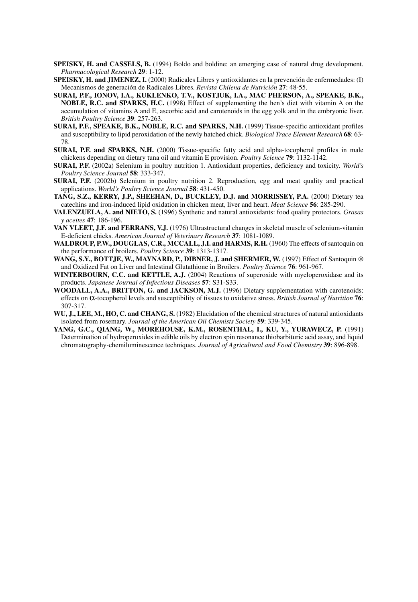- **SPEISKY, H. and CASSELS, B.** (1994) Boldo and boldine: an emerging case of natural drug development. *Pharmacological Research* **29**: 1-12.
- **SPEISKY, H. and JIMENEZ, I.** (2000) Radicales Libres y antioxidantes en la prevención de enfermedades: (I) Mecanismos de generación de Radicales Libres. *Revista Chilena de Nutrición* **27**: 48-55.
- **SURAI, P.F., IONOV, I.A., KUKLENKO, T.V., KOSTJUK, I.A., MAC PHERSON, A., SPEAKE, B.K., NOBLE, R.C. and SPARKS, H.C.** (1998) Effect of supplementing the hen's diet with vitamin A on the accumulation of vitamins A and E, ascorbic acid and carotenoids in the egg yolk and in the embryonic liver. *British Poultry Science* **39**: 257-263.
- **SURAI, P.F., SPEAKE, B.K., NOBLE, R.C. and SPARKS, N.H.** (1999) Tissue-specific antioxidant profiles and susceptibility to lipid peroxidation of the newly hatched chick. *Biological Trace Element Research* **68**: 63- 78.
- **SURAI, P.F. and SPARKS, N.H.** (2000) Tissue-specific fatty acid and alpha-tocopherol profiles in male chickens depending on dietary tuna oil and vitamin E provision. *Poultry Science* **79**: 1132-1142.
- **SURAI, P.F.** (2002a) Selenium in poultry nutrition 1. Antioxidant properties, deficiency and toxicity. *World's Poultry Science Journal* **58**: 333-347.
- **SURAI, P.F.** (2002b) Selenium in poultry nutrition 2. Reproduction, egg and meat quality and practical applications. *World's Poultry Science Journal* **58**: 431-450.
- **TANG, S.Z., KERRY, J.P., SHEEHAN, D., BUCKLEY, D.J. and MORRISSEY, P.A.** (2000) Dietary tea catechins and iron-induced lipid oxidation in chicken meat, liver and heart. *Meat Science* **56**: 285-290.
- **VALENZUELA, A. and NIETO, S.** (1996) Synthetic and natural antioxidants: food quality protectors. *Grasas y aceites* **47**: 186-196.
- **VAN VLEET, J.F. and FERRANS, V.J.** (1976) Ultrastructural changes in skeletal muscle of selenium-vitamin E-deficient chicks. *American Journal of Veterinary Research* **37**: 1081-1089.
- **WALDROUP, P.W., DOUGLAS, C.R., MCCALL, J.I. and HARMS, R.H.** (1960) The effects of santoquin on the performance of broilers. *Poultry Science* **39**: 1313-1317.
- **WANG, S.Y., BOTTJE, W., MAYNARD, P., DIBNER, J. and SHERMER, W.** (1997) Effect of Santoquin ® and Oxidized Fat on Liver and Intestinal Glutathione in Broilers. *Poultry Science* **76**: 961-967.
- **WINTERBOURN, C.C. and KETTLE, A.J.** (2004) Reactions of superoxide with myeloperoxidase and its products. *Japanese Journal of Infectious Diseases* **57**: S31-S33.
- **WOODALL, A.A., BRITTON, G. and JACKSON, M.J.** (1996) Dietary supplementation with carotenoids: effects on α-tocopherol levels and susceptibility of tissues to oxidative stress. *British Journal of Nutrition* **76**: 307-317.
- **WU, J., LEE, M., HO, C. and CHANG, S.** (1982) Elucidation of the chemical structures of natural antioxidants isolated from rosemary. *Journal of the American Oil Chemists Society* **59**: 339-345.
- YANG, G.C., QIANG, W., MOREHOUSE, K.M., ROSENTHAL, I., KU, Y., YURAWECZ, P. (1991) Determination of hydroperoxides in edible oils by electron spin resonance thiobarbituric acid assay, and liquid chromatography-chemiluminescence techniques. *Journal of Agricultural and Food Chemistry* **39**: 896-898.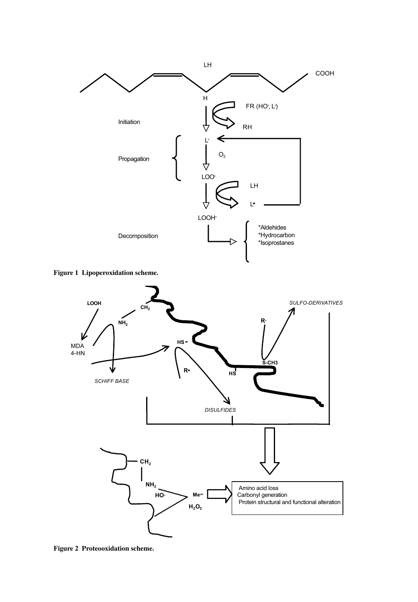





**Figure 2 Proteooxidation scheme.**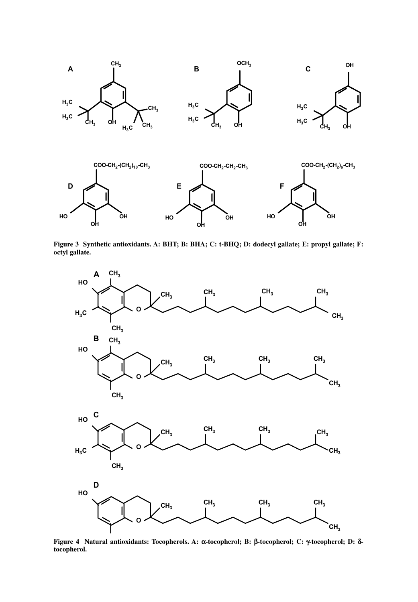

**Figure 3 Synthetic antioxidants. A: BHT; B: BHA; C: t-BHQ; D: dodecyl gallate; E: propyl gallate; F: octyl gallate.**



**Figure 4 Natural antioxidants: Tocopherols. A:** α**-tocopherol; B:** β**-tocopherol; C:** γ**-tocopherol; D:** δ**tocopherol.**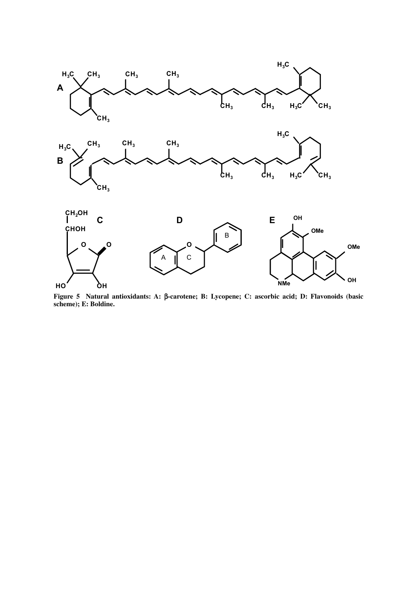

**Figure 5 Natural antioxidants: A:** β**-carotene; B: Lycopene; C: ascorbic acid; D: Flavonoids (basic scheme); E: Boldine.**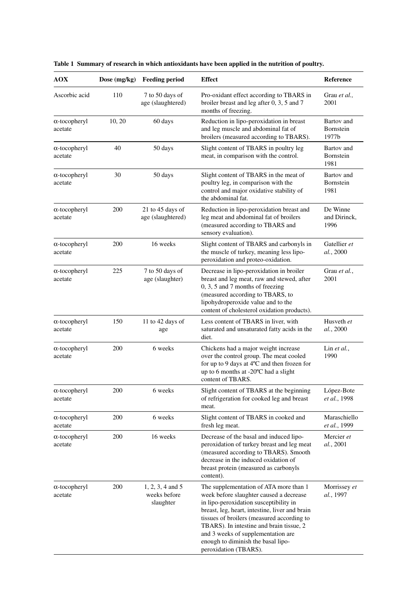| <b>AOX</b>                      | Dose $(mg/kg)$ | <b>Feeding period</b>                           | <b>Effect</b>                                                                                                                                                                                                                                                                                                                                                                | Reference                        |
|---------------------------------|----------------|-------------------------------------------------|------------------------------------------------------------------------------------------------------------------------------------------------------------------------------------------------------------------------------------------------------------------------------------------------------------------------------------------------------------------------------|----------------------------------|
| Ascorbic acid                   | 110            | 7 to 50 days of<br>age (slaughtered)            | Pro-oxidant effect according to TBARS in<br>broiler breast and leg after 0, 3, 5 and 7<br>months of freezing.                                                                                                                                                                                                                                                                | Grau et al.,<br>2001             |
| $\alpha$ -tocopheryl<br>acetate | 10, 20         | 60 days                                         | Reduction in lipo-peroxidation in breast<br>and leg muscle and abdominal fat of<br>broilers (measured according to TBARS).                                                                                                                                                                                                                                                   | Bartov and<br>Bornstein<br>1977b |
| $\alpha$ -tocopheryl<br>acetate | 40             | 50 days                                         | Slight content of TBARS in poultry leg<br>meat, in comparison with the control.                                                                                                                                                                                                                                                                                              | Bartov and<br>Bornstein<br>1981  |
| α-tocopheryl<br>acetate         | 30             | 50 days                                         | Slight content of TBARS in the meat of<br>poultry leg, in comparison with the<br>control and major oxidative stability of<br>the abdominal fat.                                                                                                                                                                                                                              | Bartov and<br>Bornstein<br>1981  |
| $\alpha$ -tocopheryl<br>acetate | 200            | 21 to 45 days of<br>age (slaughtered)           | Reduction in lipo-peroxidation breast and<br>leg meat and abdominal fat of broilers<br>(measured according to TBARS and<br>sensory evaluation).                                                                                                                                                                                                                              | De Winne<br>and Dirinck,<br>1996 |
| $\alpha$ -tocopheryl<br>acetate | 200            | 16 weeks                                        | Slight content of TBARS and carbonyls in<br>the muscle of turkey, meaning less lipo-<br>peroxidation and proteo-oxidation.                                                                                                                                                                                                                                                   | Gatellier et<br>al., 2000        |
| α-tocopheryl<br>acetate         | 225            | 7 to 50 days of<br>age (slaughter)              | Decrease in lipo-peroxidation in broiler<br>breast and leg meat, raw and stewed, after<br>0, 3, 5 and 7 months of freezing<br>(measured according to TBARS, to<br>lipohydroperoxide value and to the<br>content of cholesterol oxidation products).                                                                                                                          | Grau et al.,<br>2001             |
| $\alpha$ -tocopheryl<br>acetate | 150            | 11 to 42 days of<br>age                         | Less content of TBARS in liver, with<br>saturated and unsaturated fatty acids in the<br>diet.                                                                                                                                                                                                                                                                                | Husveth et<br>al., 2000          |
| $\alpha$ -tocopheryl<br>acetate | 200            | 6 weeks                                         | Chickens had a major weight increase<br>over the control group. The meat cooled<br>for up to 9 days at $4^{\circ}$ C and then frozen for<br>up to 6 months at $-20^{\circ}$ C had a slight<br>content of TBARS.                                                                                                                                                              | Lin et al.,<br>1990              |
| α-tocopheryl<br>acetate         | 200            | 6 weeks                                         | Slight content of TBARS at the beginning<br>of refrigeration for cooked leg and breast<br>meat.                                                                                                                                                                                                                                                                              | López-Bote<br>et al., 1998       |
| $\alpha$ -tocopheryl<br>acetate | 200            | 6 weeks                                         | Slight content of TBARS in cooked and<br>fresh leg meat.                                                                                                                                                                                                                                                                                                                     | Maraschiello<br>et al., 1999     |
| $\alpha$ -tocopheryl<br>acetate | 200            | 16 weeks                                        | Decrease of the basal and induced lipo-<br>peroxidation of turkey breast and leg meat<br>(measured according to TBARS). Smooth<br>decrease in the induced oxidation of<br>breast protein (measured as carbonyls<br>content).                                                                                                                                                 | Mercier et<br>al., 2001          |
| $\alpha$ -tocopheryl<br>acetate | 200            | $1, 2, 3, 4$ and 5<br>weeks before<br>slaughter | The supplementation of ATA more than 1<br>week before slaughter caused a decrease<br>in lipo-peroxidation susceptibility in<br>breast, leg, heart, intestine, liver and brain<br>tissues of broilers (measured according to<br>TBARS). In intestine and brain tissue, 2<br>and 3 weeks of supplementation are<br>enough to diminish the basal lipo-<br>peroxidation (TBARS). | Morrissey et<br>al., 1997        |

**Table 1 Summary of research in which antioxidants have been applied in the nutrition of poultry.**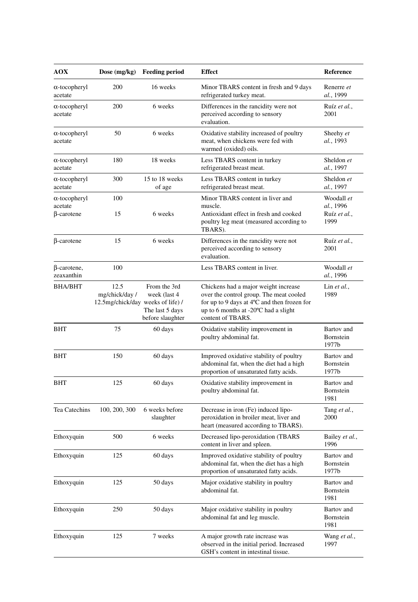| <b>AOX</b>                                    | Dose $(mg/kg)$                                              | <b>Feeding period</b>                                               | <b>Effect</b>                                                                                                                                                                               | Reference                                       |
|-----------------------------------------------|-------------------------------------------------------------|---------------------------------------------------------------------|---------------------------------------------------------------------------------------------------------------------------------------------------------------------------------------------|-------------------------------------------------|
| $\alpha$ -tocopheryl<br>acetate               | 200                                                         | 16 weeks                                                            | Minor TBARS content in fresh and 9 days<br>refrigerated turkey meat.                                                                                                                        | Renerre et<br>al., 1999                         |
| $\alpha$ -tocopheryl<br>acetate               | 200                                                         | 6 weeks                                                             | Differences in the rancidity were not<br>perceived according to sensory<br>evaluation.                                                                                                      | Ruíz et al.,<br>2001                            |
| $\alpha$ -tocopheryl<br>acetate               | 50                                                          | 6 weeks                                                             | Oxidative stability increased of poultry<br>meat, when chickens were fed with<br>warmed (oxided) oils.                                                                                      | Sheehy et<br>al., 1993                          |
| α-tocopheryl<br>acetate                       | 180                                                         | 18 weeks                                                            | Less TBARS content in turkey<br>refrigerated breast meat.                                                                                                                                   | Sheldon et<br>al., 1997                         |
| $\alpha$ -tocopheryl<br>acetate               | 300                                                         | 15 to 18 weeks<br>of age                                            | Less TBARS content in turkey<br>refrigerated breast meat.                                                                                                                                   | Sheldon et<br>al., 1997                         |
| $\alpha$ -tocopheryl<br>acetate<br>β-carotene | 100<br>15                                                   | 6 weeks                                                             | Minor TBARS content in liver and<br>muscle.<br>Antioxidant effect in fresh and cooked<br>poultry leg meat (measured according to<br>TBARS).                                                 | Woodall et<br>al., 1996<br>Ruíz et al.,<br>1999 |
| $\beta$ -carotene                             | 15                                                          | 6 weeks                                                             | Differences in the rancidity were not<br>perceived according to sensory<br>evaluation.                                                                                                      | Ruíz et al.,<br>2001                            |
| β-carotene,<br>zeaxanthin                     | 100                                                         |                                                                     | Less TBARS content in liver.                                                                                                                                                                | Woodall et<br>al., 1996                         |
| <b>BHA/BHT</b>                                | 12.5<br>mg/chick/day /<br>12.5mg/chick/day weeks of life) / | From the 3rd<br>week (last 4<br>The last 5 days<br>before slaughter | Chickens had a major weight increase<br>over the control group. The meat cooled<br>for up to 9 days at 4°C and then frozen for<br>up to 6 months at -20°C had a slight<br>content of TBARS. | Lin $et$ al.,<br>1989                           |
| BHT                                           | 75                                                          | 60 days                                                             | Oxidative stability improvement in<br>poultry abdominal fat.                                                                                                                                | Bartov and<br>Bornstein<br>1977b                |
| BHT                                           | 150                                                         | 60 days                                                             | Improved oxidative stability of poultry<br>abdominal fat, when the diet had a high<br>proportion of unsaturated fatty acids.                                                                | Bartov and<br>Bornstein<br>1977b                |
| BHT                                           | 125                                                         | 60 days                                                             | Oxidative stability improvement in<br>poultry abdominal fat.                                                                                                                                | Bartov and<br>Bornstein<br>1981                 |
| Tea Catechins                                 | 100, 200, 300                                               | 6 weeks before<br>slaughter                                         | Decrease in iron (Fe) induced lipo-<br>peroxidation in broiler meat, liver and<br>heart (measured according to TBARS).                                                                      | Tang et al.,<br>2000                            |
| Ethoxyquin                                    | 500                                                         | 6 weeks                                                             | Decreased lipo-peroxidation (TBARS<br>content in liver and spleen.                                                                                                                          | Bailey et al.,<br>1996                          |
| Ethoxyquin                                    | 125                                                         | 60 days                                                             | Improved oxidative stability of poultry<br>abdominal fat, when the diet has a high<br>proportion of unsaturated fatty acids.                                                                | Bartov and<br>Bornstein<br>1977b                |
| Ethoxyquin                                    | 125                                                         | 50 days                                                             | Major oxidative stability in poultry<br>abdominal fat.                                                                                                                                      | Bartov and<br>Bornstein<br>1981                 |
| Ethoxyquin                                    | 250                                                         | 50 days                                                             | Major oxidative stability in poultry<br>abdominal fat and leg muscle.                                                                                                                       | Bartov and<br>Bornstein<br>1981                 |
| Ethoxyquin                                    | 125                                                         | 7 weeks                                                             | A major growth rate increase was<br>observed in the initial period. Increased<br>GSH's content in intestinal tissue.                                                                        | Wang et al.,<br>1997                            |